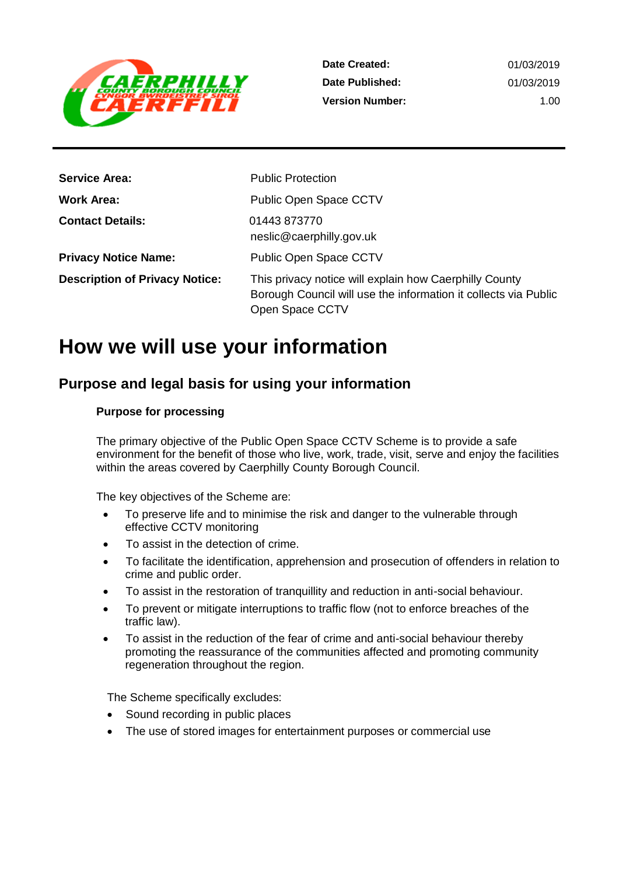

| <b>Service Area:</b>                  | <b>Public Protection</b>                                                                                                                     |
|---------------------------------------|----------------------------------------------------------------------------------------------------------------------------------------------|
| Work Area:                            | Public Open Space CCTV                                                                                                                       |
| <b>Contact Details:</b>               | 01443873770<br>neslic@caerphilly.gov.uk                                                                                                      |
| <b>Privacy Notice Name:</b>           | <b>Public Open Space CCTV</b>                                                                                                                |
| <b>Description of Privacy Notice:</b> | This privacy notice will explain how Caerphilly County<br>Borough Council will use the information it collects via Public<br>Open Space CCTV |

# **How we will use your information**

## **Purpose and legal basis for using your information**

#### **Purpose for processing**

The primary objective of the Public Open Space CCTV Scheme is to provide a safe environment for the benefit of those who live, work, trade, visit, serve and enjoy the facilities within the areas covered by Caerphilly County Borough Council.

The key objectives of the Scheme are:

- To preserve life and to minimise the risk and danger to the vulnerable through effective CCTV monitoring
- To assist in the detection of crime.
- To facilitate the identification, apprehension and prosecution of offenders in relation to crime and public order.
- To assist in the restoration of tranquillity and reduction in anti-social behaviour.
- To prevent or mitigate interruptions to traffic flow (not to enforce breaches of the traffic law).
- To assist in the reduction of the fear of crime and anti-social behaviour thereby promoting the reassurance of the communities affected and promoting community regeneration throughout the region.

The Scheme specifically excludes:

- Sound recording in public places
- The use of stored images for entertainment purposes or commercial use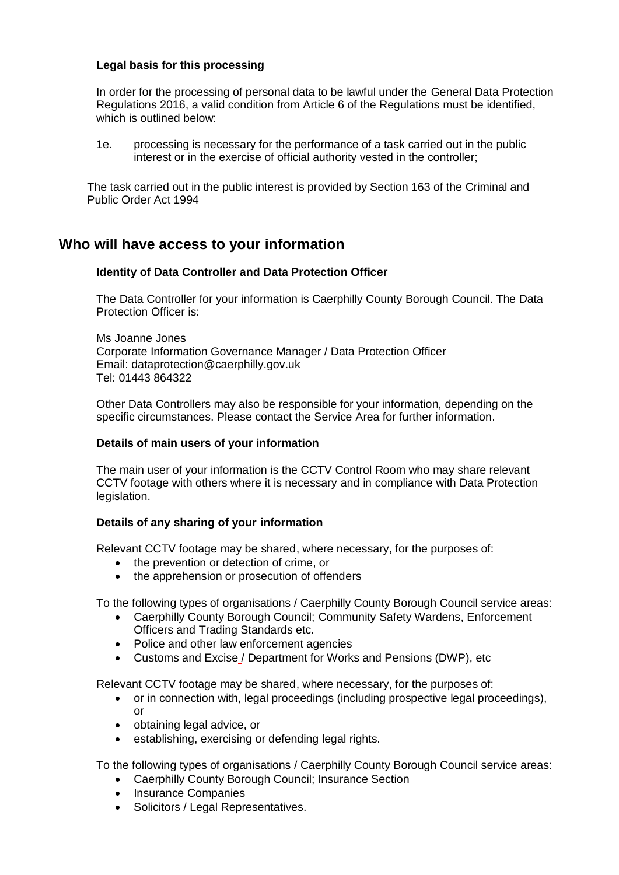#### **Legal basis for this processing**

In order for the processing of personal data to be lawful under the General Data Protection Regulations 2016, a valid condition from Article 6 of the Regulations must be identified, which is outlined below:

1e. processing is necessary for the performance of a task carried out in the public interest or in the exercise of official authority vested in the controller;

The task carried out in the public interest is provided by Section 163 of the Criminal and Public Order Act 1994

## **Who will have access to your information**

#### **Identity of Data Controller and Data Protection Officer**

The Data Controller for your information is Caerphilly County Borough Council. The Data Protection Officer is:

Ms Joanne Jones Corporate Information Governance Manager / Data Protection Officer Email: dataprotection@caerphilly.gov.uk Tel: 01443 864322

Other Data Controllers may also be responsible for your information, depending on the specific circumstances. Please contact the Service Area for further information.

#### **Details of main users of your information**

The main user of your information is the CCTV Control Room who may share relevant CCTV footage with others where it is necessary and in compliance with Data Protection legislation.

#### **Details of any sharing of your information**

Relevant CCTV footage may be shared, where necessary, for the purposes of:

- the prevention or detection of crime, or
- the apprehension or prosecution of offenders

To the following types of organisations / Caerphilly County Borough Council service areas:

- Caerphilly County Borough Council; Community Safety Wardens, Enforcement Officers and Trading Standards etc.
- Police and other law enforcement agencies
- Customs and Excise / Department for Works and Pensions (DWP), etc

Relevant CCTV footage may be shared, where necessary, for the purposes of:

- or in connection with, legal proceedings (including prospective legal proceedings), or
- obtaining legal advice, or
- establishing, exercising or defending legal rights.

To the following types of organisations / Caerphilly County Borough Council service areas:

- Caerphilly County Borough Council; Insurance Section
- Insurance Companies
- Solicitors / Legal Representatives.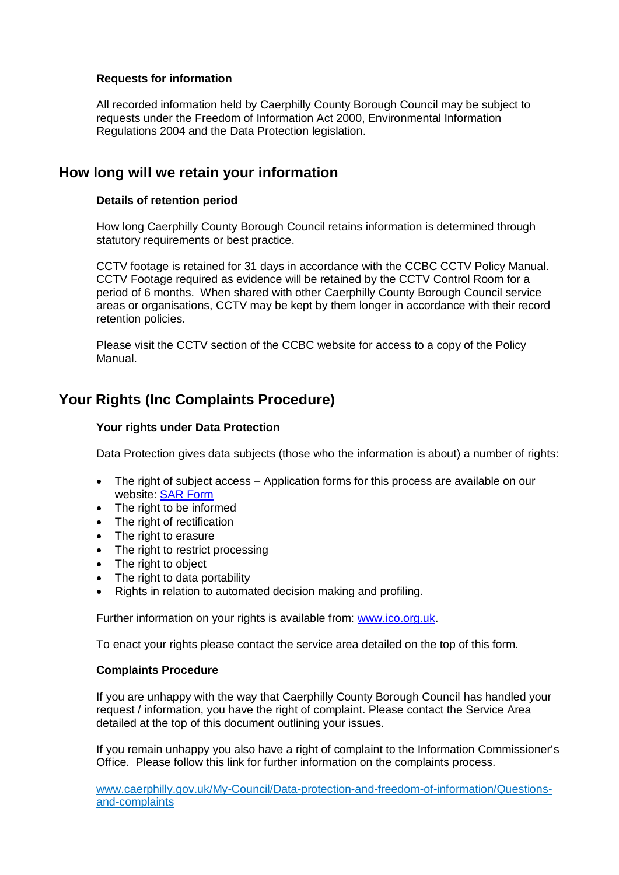#### **Requests for information**

All recorded information held by Caerphilly County Borough Council may be subject to requests under the Freedom of Information Act 2000, Environmental Information Regulations 2004 and the Data Protection legislation.

### **How long will we retain your information**

#### **Details of retention period**

How long Caerphilly County Borough Council retains information is determined through statutory requirements or best practice.

CCTV footage is retained for 31 days in accordance with the CCBC CCTV Policy Manual. CCTV Footage required as evidence will be retained by the CCTV Control Room for a period of 6 months. When shared with other Caerphilly County Borough Council service areas or organisations, CCTV may be kept by them longer in accordance with their record retention policies.

Please visit the CCTV section of the CCBC website for access to a copy of the Policy Manual.

## **Your Rights (Inc Complaints Procedure)**

#### **Your rights under Data Protection**

Data Protection gives data subjects (those who the information is about) a number of rights:

- The right of subject access Application forms for this process are available on our website: [SAR Form](http://www.caerphilly.gov.uk/CaerphillyDocs/Council-and-democracy/sar_form.aspx)
- The right to be informed
- The right of rectification
- The right to erasure
- The right to restrict processing
- The right to object
- The right to data portability
- Rights in relation to automated decision making and profiling.

Further information on your rights is available from: [www.ico.org.uk.](http://www.ico.org.uk/)

To enact your rights please contact the service area detailed on the top of this form.

#### **Complaints Procedure**

If you are unhappy with the way that Caerphilly County Borough Council has handled your request / information, you have the right of complaint. Please contact the Service Area detailed at the top of this document outlining your issues.

If you remain unhappy you also have a right of complaint to the Information Commissioner's Office. Please follow this link for further information on the complaints process.

[www.caerphilly.gov.uk/My-Council/Data-protection-and-freedom-of-information/Questions](http://www.caerphilly.gov.uk/My-Council/Data-protection-and-freedom-of-information/Questions-and-complaints)[and-complaints](http://www.caerphilly.gov.uk/My-Council/Data-protection-and-freedom-of-information/Questions-and-complaints)